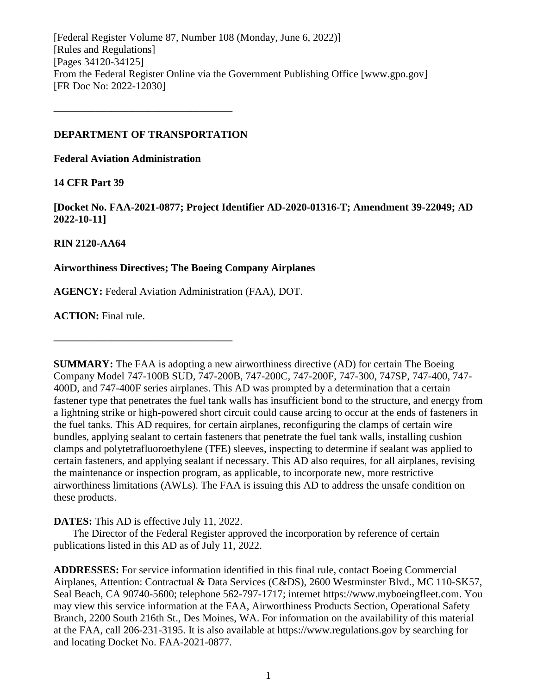[Federal Register Volume 87, Number 108 (Monday, June 6, 2022)] [Rules and Regulations] [Pages 34120-34125] From the Federal Register Online via the Government Publishing Office [www.gpo.gov] [FR Doc No: 2022-12030]

## **DEPARTMENT OF TRANSPORTATION**

**––––––––––––––––––––––––––––––––––**

**Federal Aviation Administration**

# **14 CFR Part 39**

**[Docket No. FAA-2021-0877; Project Identifier AD-2020-01316-T; Amendment 39-22049; AD 2022-10-11]**

# **RIN 2120-AA64**

# **Airworthiness Directives; The Boeing Company Airplanes**

**AGENCY:** Federal Aviation Administration (FAA), DOT.

**ACTION:** Final rule.

**SUMMARY:** The FAA is adopting a new airworthiness directive (AD) for certain The Boeing Company Model 747-100B SUD, 747-200B, 747-200C, 747-200F, 747-300, 747SP, 747-400, 747- 400D, and 747-400F series airplanes. This AD was prompted by a determination that a certain fastener type that penetrates the fuel tank walls has insufficient bond to the structure, and energy from a lightning strike or high-powered short circuit could cause arcing to occur at the ends of fasteners in the fuel tanks. This AD requires, for certain airplanes, reconfiguring the clamps of certain wire bundles, applying sealant to certain fasteners that penetrate the fuel tank walls, installing cushion clamps and polytetrafluoroethylene (TFE) sleeves, inspecting to determine if sealant was applied to certain fasteners, and applying sealant if necessary. This AD also requires, for all airplanes, revising the maintenance or inspection program, as applicable, to incorporate new, more restrictive airworthiness limitations (AWLs). The FAA is issuing this AD to address the unsafe condition on these products.

# **DATES:** This AD is effective July 11, 2022.

**––––––––––––––––––––––––––––––––––**

The Director of the Federal Register approved the incorporation by reference of certain publications listed in this AD as of July 11, 2022.

**ADDRESSES:** For service information identified in this final rule, contact Boeing Commercial Airplanes, Attention: Contractual & Data Services (C&DS), 2600 Westminster Blvd., MC 110-SK57, Seal Beach, CA 90740-5600; telephone 562-797-1717; internet https://www.myboeingfleet.com. You may view this service information at the FAA, Airworthiness Products Section, Operational Safety Branch, 2200 South 216th St., Des Moines, WA. For information on the availability of this material at the FAA, call 206-231-3195. It is also available at https://www.regulations.gov by searching for and locating Docket No. FAA-2021-0877.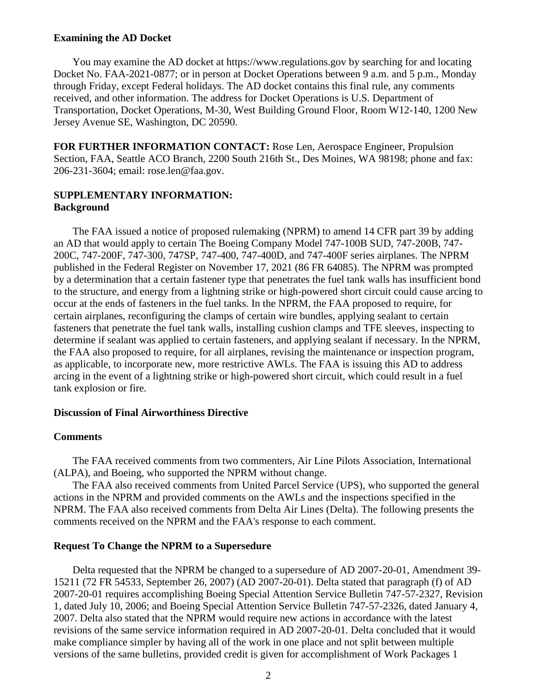#### **Examining the AD Docket**

You may examine the AD docket at https://www.regulations.gov by searching for and locating Docket No. FAA-2021-0877; or in person at Docket Operations between 9 a.m. and 5 p.m., Monday through Friday, except Federal holidays. The AD docket contains this final rule, any comments received, and other information. The address for Docket Operations is U.S. Department of Transportation, Docket Operations, M-30, West Building Ground Floor, Room W12-140, 1200 New Jersey Avenue SE, Washington, DC 20590.

**FOR FURTHER INFORMATION CONTACT:** Rose Len, Aerospace Engineer, Propulsion Section, FAA, Seattle ACO Branch, 2200 South 216th St., Des Moines, WA 98198; phone and fax: 206-231-3604; email: rose.len@faa.gov.

# **SUPPLEMENTARY INFORMATION: Background**

The FAA issued a notice of proposed rulemaking (NPRM) to amend 14 CFR part 39 by adding an AD that would apply to certain The Boeing Company Model 747-100B SUD, 747-200B, 747- 200C, 747-200F, 747-300, 747SP, 747-400, 747-400D, and 747-400F series airplanes. The NPRM published in the Federal Register on November 17, 2021 (86 FR 64085). The NPRM was prompted by a determination that a certain fastener type that penetrates the fuel tank walls has insufficient bond to the structure, and energy from a lightning strike or high-powered short circuit could cause arcing to occur at the ends of fasteners in the fuel tanks. In the NPRM, the FAA proposed to require, for certain airplanes, reconfiguring the clamps of certain wire bundles, applying sealant to certain fasteners that penetrate the fuel tank walls, installing cushion clamps and TFE sleeves, inspecting to determine if sealant was applied to certain fasteners, and applying sealant if necessary. In the NPRM, the FAA also proposed to require, for all airplanes, revising the maintenance or inspection program, as applicable, to incorporate new, more restrictive AWLs. The FAA is issuing this AD to address arcing in the event of a lightning strike or high-powered short circuit, which could result in a fuel tank explosion or fire.

#### **Discussion of Final Airworthiness Directive**

#### **Comments**

The FAA received comments from two commenters, Air Line Pilots Association, International (ALPA), and Boeing, who supported the NPRM without change.

The FAA also received comments from United Parcel Service (UPS), who supported the general actions in the NPRM and provided comments on the AWLs and the inspections specified in the NPRM. The FAA also received comments from Delta Air Lines (Delta). The following presents the comments received on the NPRM and the FAA's response to each comment.

#### **Request To Change the NPRM to a Supersedure**

Delta requested that the NPRM be changed to a supersedure of AD 2007-20-01, Amendment 39- 15211 (72 FR 54533, September 26, 2007) (AD 2007-20-01). Delta stated that paragraph (f) of AD 2007-20-01 requires accomplishing Boeing Special Attention Service Bulletin 747-57-2327, Revision 1, dated July 10, 2006; and Boeing Special Attention Service Bulletin 747-57-2326, dated January 4, 2007. Delta also stated that the NPRM would require new actions in accordance with the latest revisions of the same service information required in AD 2007-20-01. Delta concluded that it would make compliance simpler by having all of the work in one place and not split between multiple versions of the same bulletins, provided credit is given for accomplishment of Work Packages 1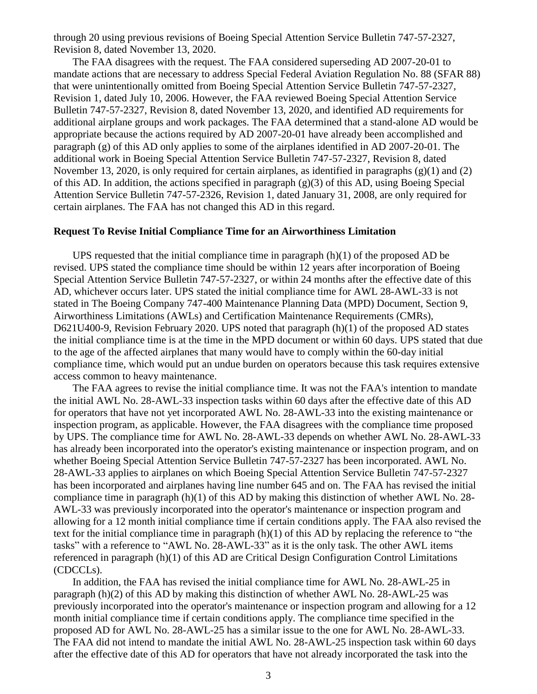through 20 using previous revisions of Boeing Special Attention Service Bulletin 747-57-2327, Revision 8, dated November 13, 2020.

The FAA disagrees with the request. The FAA considered superseding AD 2007-20-01 to mandate actions that are necessary to address Special Federal Aviation Regulation No. 88 (SFAR 88) that were unintentionally omitted from Boeing Special Attention Service Bulletin 747-57-2327, Revision 1, dated July 10, 2006. However, the FAA reviewed Boeing Special Attention Service Bulletin 747-57-2327, Revision 8, dated November 13, 2020, and identified AD requirements for additional airplane groups and work packages. The FAA determined that a stand-alone AD would be appropriate because the actions required by AD 2007-20-01 have already been accomplished and paragraph (g) of this AD only applies to some of the airplanes identified in AD 2007-20-01. The additional work in Boeing Special Attention Service Bulletin 747-57-2327, Revision 8, dated November 13, 2020, is only required for certain airplanes, as identified in paragraphs  $(g)(1)$  and  $(2)$ of this AD. In addition, the actions specified in paragraph (g)(3) of this AD, using Boeing Special Attention Service Bulletin 747-57-2326, Revision 1, dated January 31, 2008, are only required for certain airplanes. The FAA has not changed this AD in this regard.

#### **Request To Revise Initial Compliance Time for an Airworthiness Limitation**

UPS requested that the initial compliance time in paragraph  $(h)(1)$  of the proposed AD be revised. UPS stated the compliance time should be within 12 years after incorporation of Boeing Special Attention Service Bulletin 747-57-2327, or within 24 months after the effective date of this AD, whichever occurs later. UPS stated the initial compliance time for AWL 28-AWL-33 is not stated in The Boeing Company 747-400 Maintenance Planning Data (MPD) Document, Section 9, Airworthiness Limitations (AWLs) and Certification Maintenance Requirements (CMRs), D621U400-9, Revision February 2020. UPS noted that paragraph (h)(1) of the proposed AD states the initial compliance time is at the time in the MPD document or within 60 days. UPS stated that due to the age of the affected airplanes that many would have to comply within the 60-day initial compliance time, which would put an undue burden on operators because this task requires extensive access common to heavy maintenance.

The FAA agrees to revise the initial compliance time. It was not the FAA's intention to mandate the initial AWL No. 28-AWL-33 inspection tasks within 60 days after the effective date of this AD for operators that have not yet incorporated AWL No. 28-AWL-33 into the existing maintenance or inspection program, as applicable. However, the FAA disagrees with the compliance time proposed by UPS. The compliance time for AWL No. 28-AWL-33 depends on whether AWL No. 28-AWL-33 has already been incorporated into the operator's existing maintenance or inspection program, and on whether Boeing Special Attention Service Bulletin 747-57-2327 has been incorporated. AWL No. 28-AWL-33 applies to airplanes on which Boeing Special Attention Service Bulletin 747-57-2327 has been incorporated and airplanes having line number 645 and on. The FAA has revised the initial compliance time in paragraph (h)(1) of this AD by making this distinction of whether AWL No. 28- AWL-33 was previously incorporated into the operator's maintenance or inspection program and allowing for a 12 month initial compliance time if certain conditions apply. The FAA also revised the text for the initial compliance time in paragraph  $(h)(1)$  of this AD by replacing the reference to "the tasks" with a reference to "AWL No. 28-AWL-33" as it is the only task. The other AWL items referenced in paragraph (h)(1) of this AD are Critical Design Configuration Control Limitations (CDCCLs).

In addition, the FAA has revised the initial compliance time for AWL No. 28-AWL-25 in paragraph (h)(2) of this AD by making this distinction of whether AWL No. 28-AWL-25 was previously incorporated into the operator's maintenance or inspection program and allowing for a 12 month initial compliance time if certain conditions apply. The compliance time specified in the proposed AD for AWL No. 28-AWL-25 has a similar issue to the one for AWL No. 28-AWL-33. The FAA did not intend to mandate the initial AWL No. 28-AWL-25 inspection task within 60 days after the effective date of this AD for operators that have not already incorporated the task into the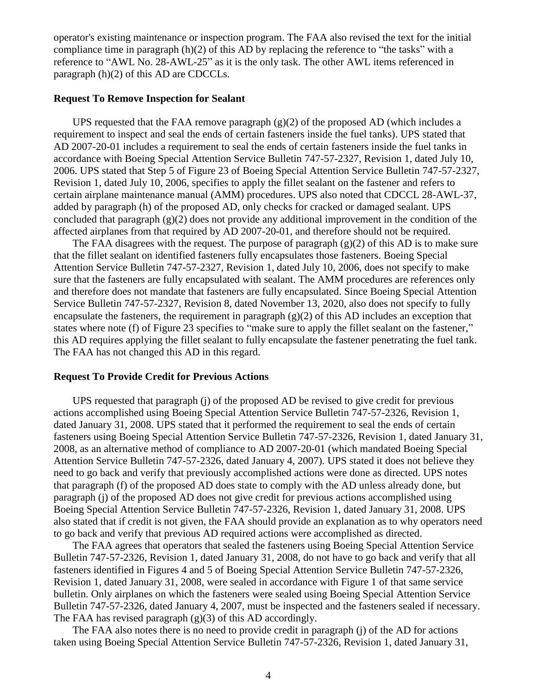operator's existing maintenance or inspection program. The FAA also revised the text for the initial compliance time in paragraph (h)(2) of this AD by replacing the reference to "the tasks" with a reference to "AWL No. 28-AWL-25" as it is the only task. The other AWL items referenced in paragraph (h)(2) of this AD are CDCCLs.

#### **Request To Remove Inspection for Sealant**

UPS requested that the FAA remove paragraph  $(g)(2)$  of the proposed AD (which includes a requirement to inspect and seal the ends of certain fasteners inside the fuel tanks). UPS stated that AD 2007-20-01 includes a requirement to seal the ends of certain fasteners inside the fuel tanks in accordance with Boeing Special Attention Service Bulletin 747-57-2327, Revision 1, dated July 10, 2006. UPS stated that Step 5 of Figure 23 of Boeing Special Attention Service Bulletin 747-57-2327, Revision 1, dated July 10, 2006, specifies to apply the fillet sealant on the fastener and refers to certain airplane maintenance manual (AMM) procedures. UPS also noted that CDCCL 28-AWL-37, added by paragraph (h) of the proposed AD, only checks for cracked or damaged sealant. UPS concluded that paragraph  $(g)(2)$  does not provide any additional improvement in the condition of the affected airplanes from that required by AD 2007-20-01, and therefore should not be required.

The FAA disagrees with the request. The purpose of paragraph  $(g)(2)$  of this AD is to make sure that the fillet sealant on identified fasteners fully encapsulates those fasteners. Boeing Special Attention Service Bulletin 747-57-2327, Revision 1, dated July 10, 2006, does not specify to make sure that the fasteners are fully encapsulated with sealant. The AMM procedures are references only and therefore does not mandate that fasteners are fully encapsulated. Since Boeing Special Attention Service Bulletin 747-57-2327, Revision 8, dated November 13, 2020, also does not specify to fully encapsulate the fasteners, the requirement in paragraph  $(g)(2)$  of this AD includes an exception that states where note (f) of Figure 23 specifies to "make sure to apply the fillet sealant on the fastener," this AD requires applying the fillet sealant to fully encapsulate the fastener penetrating the fuel tank. The FAA has not changed this AD in this regard.

#### **Request To Provide Credit for Previous Actions**

UPS requested that paragraph (j) of the proposed AD be revised to give credit for previous actions accomplished using Boeing Special Attention Service Bulletin 747-57-2326, Revision 1, dated January 31, 2008. UPS stated that it performed the requirement to seal the ends of certain fasteners using Boeing Special Attention Service Bulletin 747-57-2326, Revision 1, dated January 31, 2008, as an alternative method of compliance to AD 2007-20-01 (which mandated Boeing Special Attention Service Bulletin 747-57-2326, dated January 4, 2007). UPS stated it does not believe they need to go back and verify that previously accomplished actions were done as directed. UPS notes that paragraph (f) of the proposed AD does state to comply with the AD unless already done, but paragraph (j) of the proposed AD does not give credit for previous actions accomplished using Boeing Special Attention Service Bulletin 747-57-2326, Revision 1, dated January 31, 2008. UPS also stated that if credit is not given, the FAA should provide an explanation as to why operators need to go back and verify that previous AD required actions were accomplished as directed.

The FAA agrees that operators that sealed the fasteners using Boeing Special Attention Service Bulletin 747-57-2326, Revision 1, dated January 31, 2008, do not have to go back and verify that all fasteners identified in Figures 4 and 5 of Boeing Special Attention Service Bulletin 747-57-2326, Revision 1, dated January 31, 2008, were sealed in accordance with Figure 1 of that same service bulletin. Only airplanes on which the fasteners were sealed using Boeing Special Attention Service Bulletin 747-57-2326, dated January 4, 2007, must be inspected and the fasteners sealed if necessary. The FAA has revised paragraph  $(g)(3)$  of this AD accordingly.

The FAA also notes there is no need to provide credit in paragraph (j) of the AD for actions taken using Boeing Special Attention Service Bulletin 747-57-2326, Revision 1, dated January 31,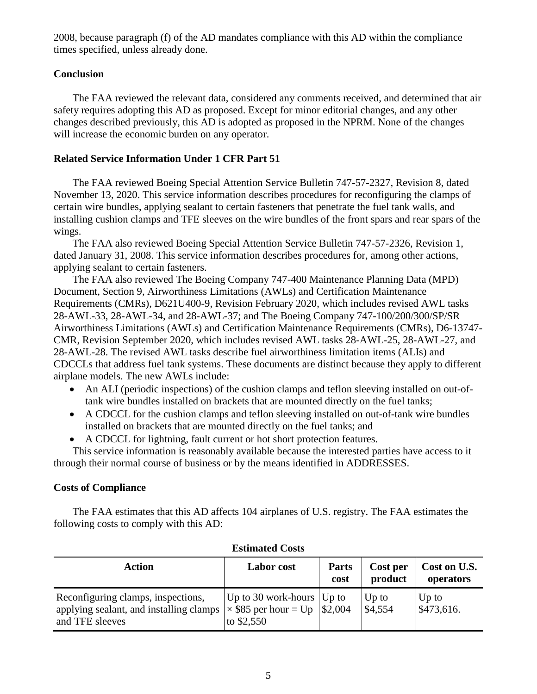2008, because paragraph (f) of the AD mandates compliance with this AD within the compliance times specified, unless already done.

# **Conclusion**

The FAA reviewed the relevant data, considered any comments received, and determined that air safety requires adopting this AD as proposed. Except for minor editorial changes, and any other changes described previously, this AD is adopted as proposed in the NPRM. None of the changes will increase the economic burden on any operator.

# **Related Service Information Under 1 CFR Part 51**

The FAA reviewed Boeing Special Attention Service Bulletin 747-57-2327, Revision 8, dated November 13, 2020. This service information describes procedures for reconfiguring the clamps of certain wire bundles, applying sealant to certain fasteners that penetrate the fuel tank walls, and installing cushion clamps and TFE sleeves on the wire bundles of the front spars and rear spars of the wings.

The FAA also reviewed Boeing Special Attention Service Bulletin 747-57-2326, Revision 1, dated January 31, 2008. This service information describes procedures for, among other actions, applying sealant to certain fasteners.

The FAA also reviewed The Boeing Company 747-400 Maintenance Planning Data (MPD) Document, Section 9, Airworthiness Limitations (AWLs) and Certification Maintenance Requirements (CMRs), D621U400-9, Revision February 2020, which includes revised AWL tasks 28-AWL-33, 28-AWL-34, and 28-AWL-37; and The Boeing Company 747-100/200/300/SP/SR Airworthiness Limitations (AWLs) and Certification Maintenance Requirements (CMRs), D6-13747- CMR, Revision September 2020, which includes revised AWL tasks 28-AWL-25, 28-AWL-27, and 28-AWL-28. The revised AWL tasks describe fuel airworthiness limitation items (ALIs) and CDCCLs that address fuel tank systems. These documents are distinct because they apply to different airplane models. The new AWLs include:

- An ALI (periodic inspections) of the cushion clamps and teflon sleeving installed on out-oftank wire bundles installed on brackets that are mounted directly on the fuel tanks;
- A CDCCL for the cushion clamps and teflon sleeving installed on out-of-tank wire bundles installed on brackets that are mounted directly on the fuel tanks; and
- A CDCCL for lightning, fault current or hot short protection features.

This service information is reasonably available because the interested parties have access to it through their normal course of business or by the means identified in ADDRESSES.

# **Costs of Compliance**

The FAA estimates that this AD affects 104 airplanes of U.S. registry. The FAA estimates the following costs to comply with this AD:

| Action                                                                                           | <b>Labor</b> cost                                                                                | <b>Parts</b><br>cost | Cost per<br>product | Cost on U.S.<br>operators |
|--------------------------------------------------------------------------------------------------|--------------------------------------------------------------------------------------------------|----------------------|---------------------|---------------------------|
| Reconfiguring clamps, inspections,<br>applying sealant, and installing clamps<br>and TFE sleeves | Up to 30 work-hours $ Up$ to<br>$\vert \times$ \$85 per hour = Up $\vert$ \$2,004<br>to $$2,550$ |                      | Up to<br>\$4,554    | $Up$ to<br>\$473,616.     |

# **Estimated Costs**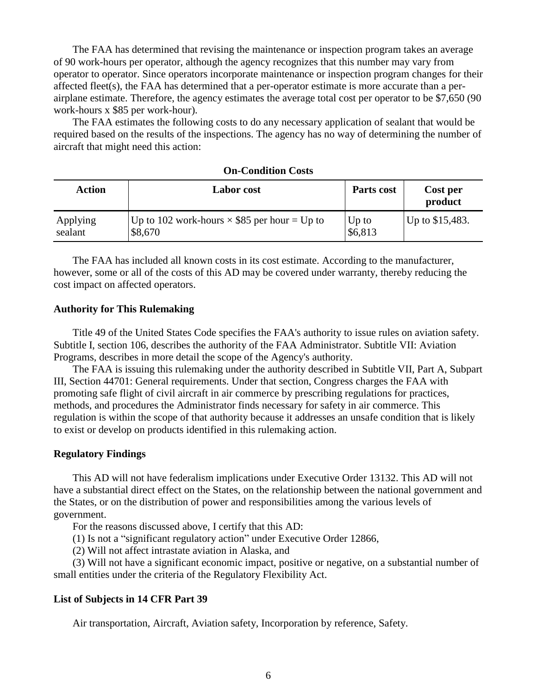The FAA has determined that revising the maintenance or inspection program takes an average of 90 work-hours per operator, although the agency recognizes that this number may vary from operator to operator. Since operators incorporate maintenance or inspection program changes for their affected fleet(s), the FAA has determined that a per-operator estimate is more accurate than a perairplane estimate. Therefore, the agency estimates the average total cost per operator to be \$7,650 (90 work-hours x \$85 per work-hour).

The FAA estimates the following costs to do any necessary application of sealant that would be required based on the results of the inspections. The agency has no way of determining the number of aircraft that might need this action:

| <b>Action</b> | Labor cost                                          | Parts cost | Cost per<br>product |
|---------------|-----------------------------------------------------|------------|---------------------|
| Applying      | Up to 102 work-hours $\times$ \$85 per hour = Up to | $Up$ to    | Up to $$15,483$ .   |
| sealant       | \$8,670                                             | \$6,813    |                     |

## **On-Condition Costs**

The FAA has included all known costs in its cost estimate. According to the manufacturer, however, some or all of the costs of this AD may be covered under warranty, thereby reducing the cost impact on affected operators.

#### **Authority for This Rulemaking**

Title 49 of the United States Code specifies the FAA's authority to issue rules on aviation safety. Subtitle I, section 106, describes the authority of the FAA Administrator. Subtitle VII: Aviation Programs, describes in more detail the scope of the Agency's authority.

The FAA is issuing this rulemaking under the authority described in Subtitle VII, Part A, Subpart III, Section 44701: General requirements. Under that section, Congress charges the FAA with promoting safe flight of civil aircraft in air commerce by prescribing regulations for practices, methods, and procedures the Administrator finds necessary for safety in air commerce. This regulation is within the scope of that authority because it addresses an unsafe condition that is likely to exist or develop on products identified in this rulemaking action.

#### **Regulatory Findings**

This AD will not have federalism implications under Executive Order 13132. This AD will not have a substantial direct effect on the States, on the relationship between the national government and the States, or on the distribution of power and responsibilities among the various levels of government.

For the reasons discussed above, I certify that this AD:

(1) Is not a "significant regulatory action" under Executive Order 12866,

(2) Will not affect intrastate aviation in Alaska, and

(3) Will not have a significant economic impact, positive or negative, on a substantial number of small entities under the criteria of the Regulatory Flexibility Act.

#### **List of Subjects in 14 CFR Part 39**

Air transportation, Aircraft, Aviation safety, Incorporation by reference, Safety.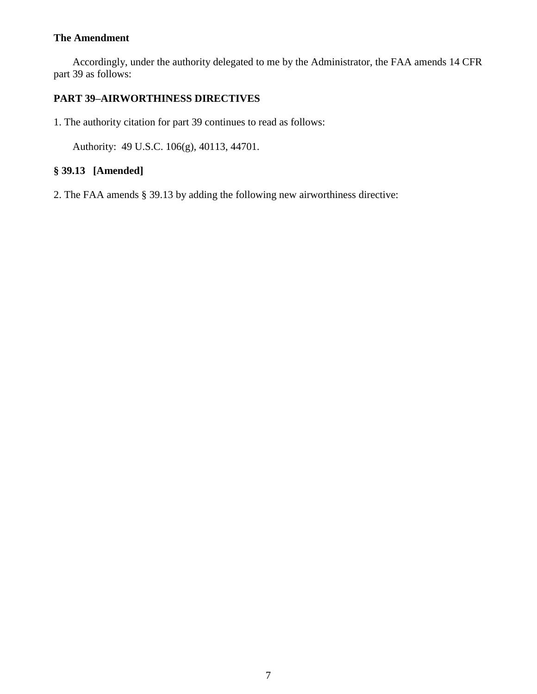# **The Amendment**

Accordingly, under the authority delegated to me by the Administrator, the FAA amends 14 CFR part 39 as follows:

# **PART 39–AIRWORTHINESS DIRECTIVES**

1. The authority citation for part 39 continues to read as follows:

Authority: 49 U.S.C. 106(g), 40113, 44701.

# **§ 39.13 [Amended]**

2. The FAA amends § 39.13 by adding the following new airworthiness directive: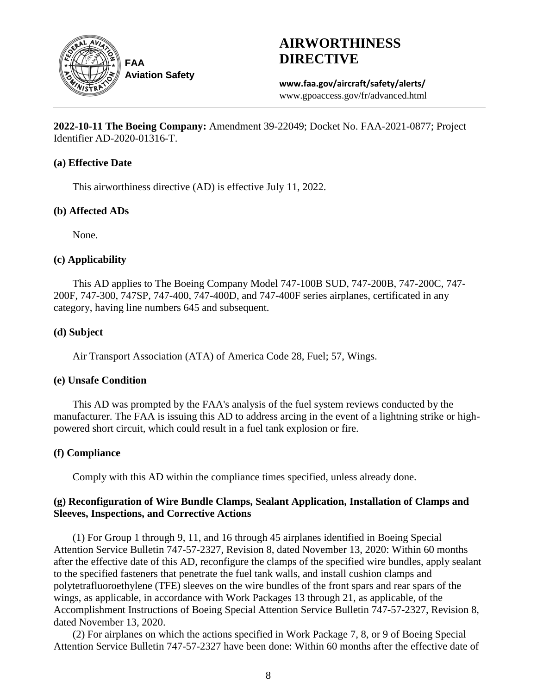

# **AIRWORTHINESS DIRECTIVE**

**www.faa.gov/aircraft/safety/alerts/** www.gpoaccess.gov/fr/advanced.html

**2022-10-11 The Boeing Company:** Amendment 39-22049; Docket No. FAA-2021-0877; Project Identifier AD-2020-01316-T.

## **(a) Effective Date**

This airworthiness directive (AD) is effective July 11, 2022.

## **(b) Affected ADs**

None.

# **(c) Applicability**

This AD applies to The Boeing Company Model 747-100B SUD, 747-200B, 747-200C, 747- 200F, 747-300, 747SP, 747-400, 747-400D, and 747-400F series airplanes, certificated in any category, having line numbers 645 and subsequent.

## **(d) Subject**

Air Transport Association (ATA) of America Code 28, Fuel; 57, Wings.

# **(e) Unsafe Condition**

This AD was prompted by the FAA's analysis of the fuel system reviews conducted by the manufacturer. The FAA is issuing this AD to address arcing in the event of a lightning strike or highpowered short circuit, which could result in a fuel tank explosion or fire.

# **(f) Compliance**

Comply with this AD within the compliance times specified, unless already done.

# **(g) Reconfiguration of Wire Bundle Clamps, Sealant Application, Installation of Clamps and Sleeves, Inspections, and Corrective Actions**

(1) For Group 1 through 9, 11, and 16 through 45 airplanes identified in Boeing Special Attention Service Bulletin 747-57-2327, Revision 8, dated November 13, 2020: Within 60 months after the effective date of this AD, reconfigure the clamps of the specified wire bundles, apply sealant to the specified fasteners that penetrate the fuel tank walls, and install cushion clamps and polytetrafluoroethylene (TFE) sleeves on the wire bundles of the front spars and rear spars of the wings, as applicable, in accordance with Work Packages 13 through 21, as applicable, of the Accomplishment Instructions of Boeing Special Attention Service Bulletin 747-57-2327, Revision 8, dated November 13, 2020.

(2) For airplanes on which the actions specified in Work Package 7, 8, or 9 of Boeing Special Attention Service Bulletin 747-57-2327 have been done: Within 60 months after the effective date of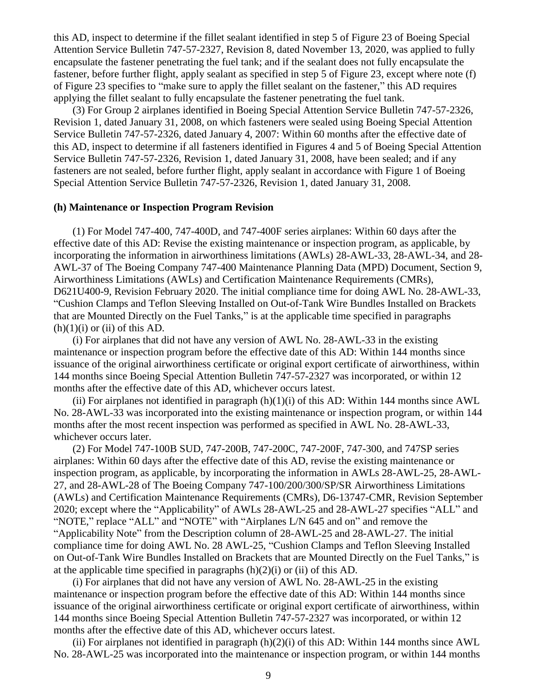this AD, inspect to determine if the fillet sealant identified in step 5 of Figure 23 of Boeing Special Attention Service Bulletin 747-57-2327, Revision 8, dated November 13, 2020, was applied to fully encapsulate the fastener penetrating the fuel tank; and if the sealant does not fully encapsulate the fastener, before further flight, apply sealant as specified in step 5 of Figure 23, except where note (f) of Figure 23 specifies to "make sure to apply the fillet sealant on the fastener," this AD requires applying the fillet sealant to fully encapsulate the fastener penetrating the fuel tank.

(3) For Group 2 airplanes identified in Boeing Special Attention Service Bulletin 747-57-2326, Revision 1, dated January 31, 2008, on which fasteners were sealed using Boeing Special Attention Service Bulletin 747-57-2326, dated January 4, 2007: Within 60 months after the effective date of this AD, inspect to determine if all fasteners identified in Figures 4 and 5 of Boeing Special Attention Service Bulletin 747-57-2326, Revision 1, dated January 31, 2008, have been sealed; and if any fasteners are not sealed, before further flight, apply sealant in accordance with Figure 1 of Boeing Special Attention Service Bulletin 747-57-2326, Revision 1, dated January 31, 2008.

#### **(h) Maintenance or Inspection Program Revision**

(1) For Model 747-400, 747-400D, and 747-400F series airplanes: Within 60 days after the effective date of this AD: Revise the existing maintenance or inspection program, as applicable, by incorporating the information in airworthiness limitations (AWLs) 28-AWL-33, 28-AWL-34, and 28- AWL-37 of The Boeing Company 747-400 Maintenance Planning Data (MPD) Document, Section 9, Airworthiness Limitations (AWLs) and Certification Maintenance Requirements (CMRs), D621U400-9, Revision February 2020. The initial compliance time for doing AWL No. 28-AWL-33, "Cushion Clamps and Teflon Sleeving Installed on Out-of-Tank Wire Bundles Installed on Brackets that are Mounted Directly on the Fuel Tanks," is at the applicable time specified in paragraphs  $(h)(1)(i)$  or  $(ii)$  of this AD.

(i) For airplanes that did not have any version of AWL No. 28-AWL-33 in the existing maintenance or inspection program before the effective date of this AD: Within 144 months since issuance of the original airworthiness certificate or original export certificate of airworthiness, within 144 months since Boeing Special Attention Bulletin 747-57-2327 was incorporated, or within 12 months after the effective date of this AD, whichever occurs latest.

(ii) For airplanes not identified in paragraph  $(h)(1)(i)$  of this AD: Within 144 months since AWL No. 28-AWL-33 was incorporated into the existing maintenance or inspection program, or within 144 months after the most recent inspection was performed as specified in AWL No. 28-AWL-33, whichever occurs later.

(2) For Model 747-100B SUD, 747-200B, 747-200C, 747-200F, 747-300, and 747SP series airplanes: Within 60 days after the effective date of this AD, revise the existing maintenance or inspection program, as applicable, by incorporating the information in AWLs 28-AWL-25, 28-AWL-27, and 28-AWL-28 of The Boeing Company 747-100/200/300/SP/SR Airworthiness Limitations (AWLs) and Certification Maintenance Requirements (CMRs), D6-13747-CMR, Revision September 2020; except where the "Applicability" of AWLs 28-AWL-25 and 28-AWL-27 specifies "ALL" and "NOTE," replace "ALL" and "NOTE" with "Airplanes L/N 645 and on" and remove the "Applicability Note" from the Description column of 28-AWL-25 and 28-AWL-27. The initial compliance time for doing AWL No. 28 AWL-25, "Cushion Clamps and Teflon Sleeving Installed on Out-of-Tank Wire Bundles Installed on Brackets that are Mounted Directly on the Fuel Tanks," is at the applicable time specified in paragraphs  $(h)(2)(i)$  or  $(ii)$  of this AD.

(i) For airplanes that did not have any version of AWL No. 28-AWL-25 in the existing maintenance or inspection program before the effective date of this AD: Within 144 months since issuance of the original airworthiness certificate or original export certificate of airworthiness, within 144 months since Boeing Special Attention Bulletin 747-57-2327 was incorporated, or within 12 months after the effective date of this AD, whichever occurs latest.

(ii) For airplanes not identified in paragraph  $(h)(2)(i)$  of this AD: Within 144 months since AWL No. 28-AWL-25 was incorporated into the maintenance or inspection program, or within 144 months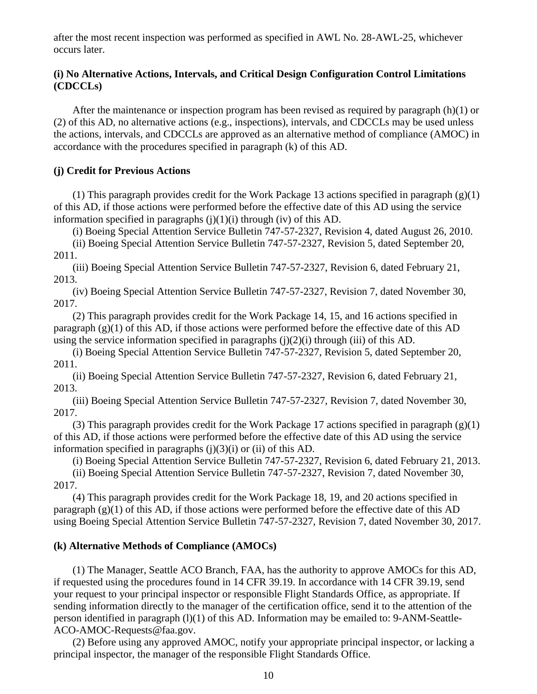after the most recent inspection was performed as specified in AWL No. 28-AWL-25, whichever occurs later.

# **(i) No Alternative Actions, Intervals, and Critical Design Configuration Control Limitations (CDCCLs)**

After the maintenance or inspection program has been revised as required by paragraph  $(h)(1)$  or (2) of this AD, no alternative actions (e.g., inspections), intervals, and CDCCLs may be used unless the actions, intervals, and CDCCLs are approved as an alternative method of compliance (AMOC) in accordance with the procedures specified in paragraph (k) of this AD.

# **(j) Credit for Previous Actions**

(1) This paragraph provides credit for the Work Package 13 actions specified in paragraph  $(g)(1)$ of this AD, if those actions were performed before the effective date of this AD using the service information specified in paragraphs  $(j)(1)(i)$  through  $(iv)$  of this AD.

(i) Boeing Special Attention Service Bulletin 747-57-2327, Revision 4, dated August 26, 2010.

(ii) Boeing Special Attention Service Bulletin 747-57-2327, Revision 5, dated September 20, 2011.

(iii) Boeing Special Attention Service Bulletin 747-57-2327, Revision 6, dated February 21, 2013.

(iv) Boeing Special Attention Service Bulletin 747-57-2327, Revision 7, dated November 30, 2017.

(2) This paragraph provides credit for the Work Package 14, 15, and 16 actions specified in paragraph (g)(1) of this AD, if those actions were performed before the effective date of this AD using the service information specified in paragraphs  $(j)(2)(i)$  through (iii) of this AD.

(i) Boeing Special Attention Service Bulletin 747-57-2327, Revision 5, dated September 20, 2011.

(ii) Boeing Special Attention Service Bulletin 747-57-2327, Revision 6, dated February 21, 2013.

(iii) Boeing Special Attention Service Bulletin 747-57-2327, Revision 7, dated November 30, 2017.

(3) This paragraph provides credit for the Work Package 17 actions specified in paragraph  $(g)(1)$ of this AD, if those actions were performed before the effective date of this AD using the service information specified in paragraphs  $(i)(3)(i)$  or  $(ii)$  of this AD.

(i) Boeing Special Attention Service Bulletin 747-57-2327, Revision 6, dated February 21, 2013. (ii) Boeing Special Attention Service Bulletin 747-57-2327, Revision 7, dated November 30, 2017.

(4) This paragraph provides credit for the Work Package 18, 19, and 20 actions specified in paragraph (g)(1) of this AD, if those actions were performed before the effective date of this AD using Boeing Special Attention Service Bulletin 747-57-2327, Revision 7, dated November 30, 2017.

## **(k) Alternative Methods of Compliance (AMOCs)**

(1) The Manager, Seattle ACO Branch, FAA, has the authority to approve AMOCs for this AD, if requested using the procedures found in 14 CFR 39.19. In accordance with 14 CFR 39.19, send your request to your principal inspector or responsible Flight Standards Office, as appropriate. If sending information directly to the manager of the certification office, send it to the attention of the person identified in paragraph (l)(1) of this AD. Information may be emailed to: 9-ANM-Seattle-ACO-AMOC-Requests@faa.gov.

(2) Before using any approved AMOC, notify your appropriate principal inspector, or lacking a principal inspector, the manager of the responsible Flight Standards Office.